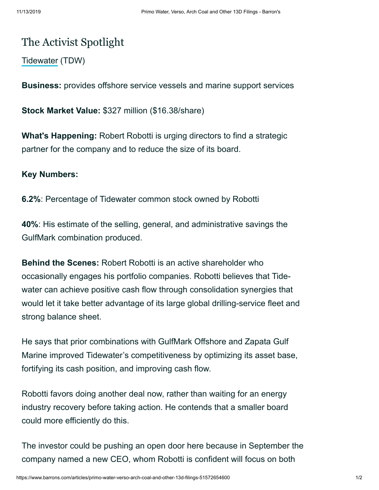## The Activist Spotlight

[Tidewater](https://www.barrons.com/quote/TDW) (TDW)

**Business:** provides offshore service vessels and marine support services

**Stock Market Value:** \$327 million (\$16.38/share)

**What's Happening:** Robert Robotti is urging directors to find a strategic partner for the company and to reduce the size of its board.

## **Key Numbers:**

**6.2%**: Percentage of Tidewater common stock owned by Robotti

**40%**: His estimate of the selling, general, and administrative savings the GulfMark combination produced.

**Behind the Scenes:** Robert Robotti is an active shareholder who occasionally engages his portfolio companies. Robotti believes that Tidewater can achieve positive cash flow through consolidation synergies that would let it take better advantage of its large global drilling-service fleet and strong balance sheet.

He says that prior combinations with GulfMark Offshore and Zapata Gulf Marine improved Tidewater's competitiveness by optimizing its asset base, fortifying its cash position, and improving cash flow.

Robotti favors doing another deal now, rather than waiting for an energy industry recovery before taking action. He contends that a smaller board could more efficiently do this.

The investor could be pushing an open door here because in September the company named a new CEO, whom Robotti is confident will focus on both